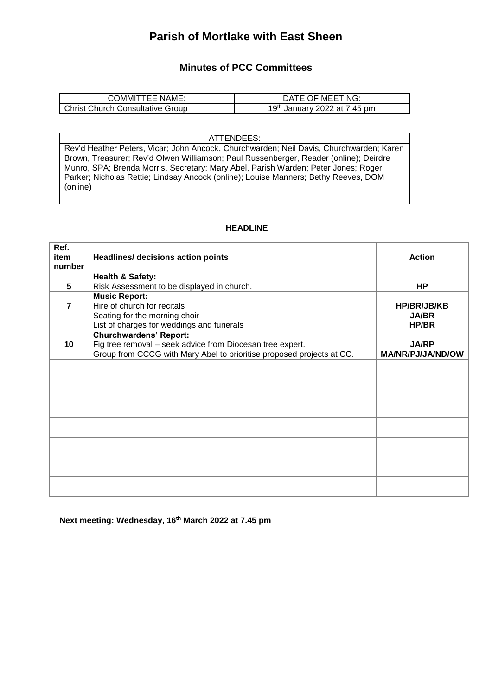## **Parish of Mortlake with East Sheen**

## **Minutes of PCC Committees**

| <b>COMMITTEE NAME:</b>                  | DATE OF MEETING:                         |  |  |
|-----------------------------------------|------------------------------------------|--|--|
| <b>Christ Church Consultative Group</b> | 19 <sup>th</sup> January 2022 at 7.45 pm |  |  |

ATTENDEES:

Rev'd Heather Peters, Vicar; John Ancock, Churchwarden; Neil Davis, Churchwarden; Karen Brown, Treasurer; Rev'd Olwen Williamson; Paul Russenberger, Reader (online); Deirdre Munro, SPA; Brenda Morris, Secretary; Mary Abel, Parish Warden; Peter Jones; Roger Parker; Nicholas Rettie; Lindsay Ancock (online); Louise Manners; Bethy Reeves, DOM (online)

## **HEADLINE**

| Ref.<br>item   |                                                                                                                                                                     | <b>Action</b>                               |
|----------------|---------------------------------------------------------------------------------------------------------------------------------------------------------------------|---------------------------------------------|
| number         | <b>Headlines/ decisions action points</b>                                                                                                                           |                                             |
|                | <b>Health &amp; Safety:</b>                                                                                                                                         |                                             |
| 5              | Risk Assessment to be displayed in church.                                                                                                                          | HP                                          |
| $\overline{7}$ | <b>Music Report:</b><br>Hire of church for recitals<br>Seating for the morning choir<br>List of charges for weddings and funerals                                   | <b>HP/BR/JB/KB</b><br><b>JA/BR</b><br>HP/BR |
| 10             | <b>Churchwardens' Report:</b><br>Fig tree removal - seek advice from Diocesan tree expert.<br>Group from CCCG with Mary Abel to prioritise proposed projects at CC. | <b>JA/RP</b><br>MA/NR/PJ/JA/ND/OW           |
|                |                                                                                                                                                                     |                                             |
|                |                                                                                                                                                                     |                                             |
|                |                                                                                                                                                                     |                                             |
|                |                                                                                                                                                                     |                                             |
|                |                                                                                                                                                                     |                                             |
|                |                                                                                                                                                                     |                                             |
|                |                                                                                                                                                                     |                                             |

**Next meeting: Wednesday, 16th March 2022 at 7.45 pm**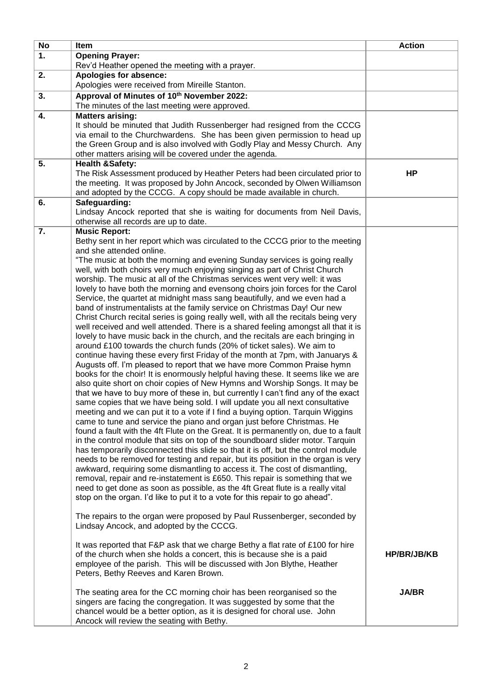| <b>No</b> | <b>Item</b>                                                                                                                                                    | <b>Action</b> |
|-----------|----------------------------------------------------------------------------------------------------------------------------------------------------------------|---------------|
| 1.        | <b>Opening Prayer:</b>                                                                                                                                         |               |
|           | Rev'd Heather opened the meeting with a prayer.                                                                                                                |               |
| 2.        | Apologies for absence:                                                                                                                                         |               |
|           | Apologies were received from Mireille Stanton.                                                                                                                 |               |
| 3.        | Approval of Minutes of 10th November 2022:<br>The minutes of the last meeting were approved.                                                                   |               |
| 4.        | <b>Matters arising:</b>                                                                                                                                        |               |
|           | It should be minuted that Judith Russenberger had resigned from the CCCG                                                                                       |               |
|           | via email to the Churchwardens. She has been given permission to head up                                                                                       |               |
|           | the Green Group and is also involved with Godly Play and Messy Church. Any                                                                                     |               |
|           | other matters arising will be covered under the agenda.                                                                                                        |               |
| 5.        | <b>Health &amp;Safety:</b>                                                                                                                                     |               |
|           | The Risk Assessment produced by Heather Peters had been circulated prior to                                                                                    | HP            |
|           | the meeting. It was proposed by John Ancock, seconded by Olwen Williamson<br>and adopted by the CCCG. A copy should be made available in church.               |               |
| 6.        | Safeguarding:                                                                                                                                                  |               |
|           | Lindsay Ancock reported that she is waiting for documents from Neil Davis,                                                                                     |               |
|           | otherwise all records are up to date.                                                                                                                          |               |
| 7.        | <b>Music Report:</b>                                                                                                                                           |               |
|           | Bethy sent in her report which was circulated to the CCCG prior to the meeting                                                                                 |               |
|           | and she attended online.                                                                                                                                       |               |
|           | "The music at both the morning and evening Sunday services is going really                                                                                     |               |
|           | well, with both choirs very much enjoying singing as part of Christ Church<br>worship. The music at all of the Christmas services went very well: it was       |               |
|           | lovely to have both the morning and evensong choirs join forces for the Carol                                                                                  |               |
|           | Service, the quartet at midnight mass sang beautifully, and we even had a                                                                                      |               |
|           | band of instrumentalists at the family service on Christmas Day! Our new                                                                                       |               |
|           | Christ Church recital series is going really well, with all the recitals being very                                                                            |               |
|           | well received and well attended. There is a shared feeling amongst all that it is                                                                              |               |
|           | lovely to have music back in the church, and the recitals are each bringing in                                                                                 |               |
|           | around £100 towards the church funds (20% of ticket sales). We aim to                                                                                          |               |
|           | continue having these every first Friday of the month at 7pm, with Januarys &                                                                                  |               |
|           | Augusts off. I'm pleased to report that we have more Common Praise hymn                                                                                        |               |
|           | books for the choir! It is enormously helpful having these. It seems like we are<br>also quite short on choir copies of New Hymns and Worship Songs. It may be |               |
|           | that we have to buy more of these in, but currently I can't find any of the exact                                                                              |               |
|           | same copies that we have being sold. I will update you all next consultative                                                                                   |               |
|           | meeting and we can put it to a vote if I find a buying option. Tarquin Wiggins                                                                                 |               |
|           | came to tune and service the piano and organ just before Christmas. He                                                                                         |               |
|           | found a fault with the 4ft Flute on the Great. It is permanently on, due to a fault                                                                            |               |
|           | in the control module that sits on top of the soundboard slider motor. Tarquin                                                                                 |               |
|           | has temporarily disconnected this slide so that it is off, but the control module                                                                              |               |
|           | needs to be removed for testing and repair, but its position in the organ is very                                                                              |               |
|           | awkward, requiring some dismantling to access it. The cost of dismantling,                                                                                     |               |
|           | removal, repair and re-instatement is £650. This repair is something that we<br>need to get done as soon as possible, as the 4ft Great flute is a really vital |               |
|           | stop on the organ. I'd like to put it to a vote for this repair to go ahead".                                                                                  |               |
|           |                                                                                                                                                                |               |
|           | The repairs to the organ were proposed by Paul Russenberger, seconded by                                                                                       |               |
|           | Lindsay Ancock, and adopted by the CCCG.                                                                                                                       |               |
|           |                                                                                                                                                                |               |
|           | It was reported that F&P ask that we charge Bethy a flat rate of £100 for hire                                                                                 |               |
|           | of the church when she holds a concert, this is because she is a paid<br>employee of the parish. This will be discussed with Jon Blythe, Heather               | HP/BR/JB/KB   |
|           | Peters, Bethy Reeves and Karen Brown.                                                                                                                          |               |
|           |                                                                                                                                                                |               |
|           | The seating area for the CC morning choir has been reorganised so the                                                                                          | <b>JA/BR</b>  |
|           | singers are facing the congregation. It was suggested by some that the                                                                                         |               |
|           | chancel would be a better option, as it is designed for choral use. John                                                                                       |               |
|           | Ancock will review the seating with Bethy.                                                                                                                     |               |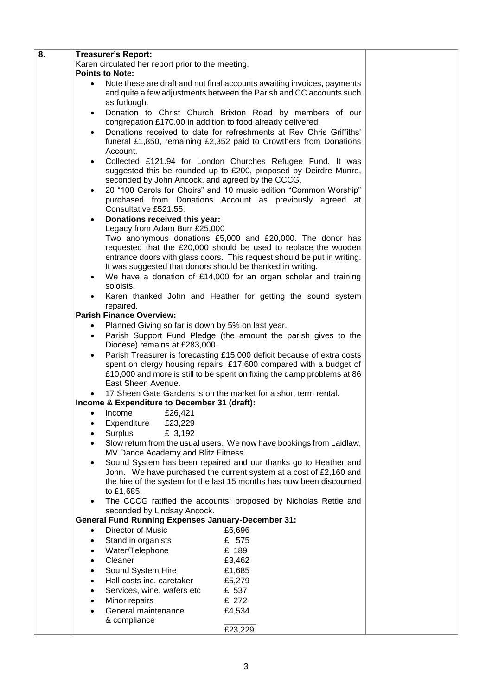| 8. | <b>Treasurer's Report:</b>                                                                                           |                                                                         |  |
|----|----------------------------------------------------------------------------------------------------------------------|-------------------------------------------------------------------------|--|
|    | Karen circulated her report prior to the meeting.                                                                    |                                                                         |  |
|    | <b>Points to Note:</b>                                                                                               |                                                                         |  |
|    | Note these are draft and not final accounts awaiting invoices, payments<br>$\bullet$                                 |                                                                         |  |
|    | and quite a few adjustments between the Parish and CC accounts such                                                  |                                                                         |  |
|    | as furlough.                                                                                                         |                                                                         |  |
|    | $\bullet$                                                                                                            | Donation to Christ Church Brixton Road by members of our                |  |
|    | congregation £170.00 in addition to food already delivered.                                                          |                                                                         |  |
|    | $\bullet$                                                                                                            | Donations received to date for refreshments at Rev Chris Griffiths'     |  |
|    | funeral £1,850, remaining £2,352 paid to Crowthers from Donations                                                    |                                                                         |  |
|    | Account.                                                                                                             |                                                                         |  |
|    | $\bullet$                                                                                                            | Collected £121.94 for London Churches Refugee Fund. It was              |  |
|    |                                                                                                                      | suggested this be rounded up to £200, proposed by Deirdre Munro,        |  |
|    | seconded by John Ancock, and agreed by the CCCG.                                                                     |                                                                         |  |
|    | $\bullet$                                                                                                            | 20 "100 Carols for Choirs" and 10 music edition "Common Worship"        |  |
|    |                                                                                                                      | purchased from Donations Account as previously agreed at                |  |
|    | Consultative £521.55.                                                                                                |                                                                         |  |
|    | Donations received this year:<br>$\bullet$                                                                           |                                                                         |  |
|    | Legacy from Adam Burr £25,000                                                                                        |                                                                         |  |
|    |                                                                                                                      | Two anonymous donations £5,000 and £20,000. The donor has               |  |
|    |                                                                                                                      | requested that the £20,000 should be used to replace the wooden         |  |
|    |                                                                                                                      | entrance doors with glass doors. This request should be put in writing. |  |
|    | It was suggested that donors should be thanked in writing.                                                           |                                                                         |  |
|    | We have a donation of £14,000 for an organ scholar and training<br>$\bullet$                                         |                                                                         |  |
|    | soloists.                                                                                                            |                                                                         |  |
|    | Karen thanked John and Heather for getting the sound system<br>$\bullet$                                             |                                                                         |  |
|    | repaired.<br><b>Parish Finance Overview:</b>                                                                         |                                                                         |  |
|    |                                                                                                                      |                                                                         |  |
|    | Planned Giving so far is down by 5% on last year.<br>$\bullet$                                                       |                                                                         |  |
|    | Parish Support Fund Pledge (the amount the parish gives to the<br>$\bullet$                                          |                                                                         |  |
|    | Diocese) remains at £283,000.<br>Parish Treasurer is forecasting £15,000 deficit because of extra costs<br>$\bullet$ |                                                                         |  |
|    | spent on clergy housing repairs, £17,600 compared with a budget of                                                   |                                                                         |  |
|    | £10,000 and more is still to be spent on fixing the damp problems at 86                                              |                                                                         |  |
|    | East Sheen Avenue.                                                                                                   |                                                                         |  |
|    |                                                                                                                      | 17 Sheen Gate Gardens is on the market for a short term rental.         |  |
|    | Income & Expenditure to December 31 (draft):                                                                         |                                                                         |  |
|    | £26,421<br>Income<br>$\bullet$                                                                                       |                                                                         |  |
|    | Expenditure<br>£23,229                                                                                               |                                                                         |  |
|    | Surplus<br>£ 3,192                                                                                                   |                                                                         |  |
|    |                                                                                                                      | Slow return from the usual users. We now have bookings from Laidlaw,    |  |
|    | MV Dance Academy and Blitz Fitness.                                                                                  |                                                                         |  |
|    | Sound System has been repaired and our thanks go to Heather and<br>$\bullet$                                         |                                                                         |  |
|    | John. We have purchased the current system at a cost of £2,160 and                                                   |                                                                         |  |
|    | the hire of the system for the last 15 months has now been discounted                                                |                                                                         |  |
|    | to £1,685.                                                                                                           |                                                                         |  |
|    | $\bullet$                                                                                                            | The CCCG ratified the accounts: proposed by Nicholas Rettie and         |  |
|    | seconded by Lindsay Ancock.                                                                                          |                                                                         |  |
|    | <b>General Fund Running Expenses January-December 31:</b>                                                            |                                                                         |  |
|    | Director of Music<br>$\bullet$                                                                                       | £6,696                                                                  |  |
|    | Stand in organists<br>$\bullet$                                                                                      | £ 575                                                                   |  |
|    | Water/Telephone                                                                                                      | £ 189                                                                   |  |
|    | Cleaner                                                                                                              | £3,462                                                                  |  |
|    | Sound System Hire                                                                                                    | £1,685                                                                  |  |
|    | Hall costs inc. caretaker                                                                                            | £5,279                                                                  |  |
|    | Services, wine, wafers etc                                                                                           | £ 537                                                                   |  |
|    | Minor repairs                                                                                                        | £ 272                                                                   |  |
|    | General maintenance                                                                                                  | £4,534                                                                  |  |
|    | & compliance                                                                                                         |                                                                         |  |
|    |                                                                                                                      | £23,229                                                                 |  |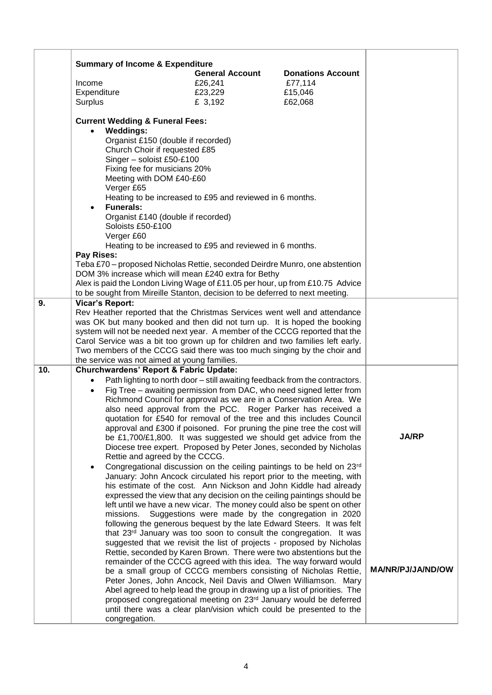|     | <b>Summary of Income &amp; Expenditure</b>                                                                                                                                                                                                                                                                                                                                                         | <b>General Account</b>                                   | <b>Donations Account</b>                                                                                                              |                   |
|-----|----------------------------------------------------------------------------------------------------------------------------------------------------------------------------------------------------------------------------------------------------------------------------------------------------------------------------------------------------------------------------------------------------|----------------------------------------------------------|---------------------------------------------------------------------------------------------------------------------------------------|-------------------|
|     | Income                                                                                                                                                                                                                                                                                                                                                                                             | £26,241                                                  | £77,114                                                                                                                               |                   |
|     | Expenditure                                                                                                                                                                                                                                                                                                                                                                                        | £23,229                                                  | £15,046                                                                                                                               |                   |
|     | Surplus                                                                                                                                                                                                                                                                                                                                                                                            | £ 3,192                                                  | £62,068                                                                                                                               |                   |
|     | <b>Current Wedding &amp; Funeral Fees:</b>                                                                                                                                                                                                                                                                                                                                                         |                                                          |                                                                                                                                       |                   |
|     | <b>Weddings:</b><br>$\bullet$                                                                                                                                                                                                                                                                                                                                                                      |                                                          |                                                                                                                                       |                   |
|     | Organist £150 (double if recorded)<br>Church Choir if requested £85                                                                                                                                                                                                                                                                                                                                |                                                          |                                                                                                                                       |                   |
|     | Singer - soloist £50-£100                                                                                                                                                                                                                                                                                                                                                                          |                                                          |                                                                                                                                       |                   |
|     | Fixing fee for musicians 20%                                                                                                                                                                                                                                                                                                                                                                       |                                                          |                                                                                                                                       |                   |
|     | Meeting with DOM £40-£60                                                                                                                                                                                                                                                                                                                                                                           |                                                          |                                                                                                                                       |                   |
|     | Verger £65                                                                                                                                                                                                                                                                                                                                                                                         |                                                          |                                                                                                                                       |                   |
|     |                                                                                                                                                                                                                                                                                                                                                                                                    | Heating to be increased to £95 and reviewed in 6 months. |                                                                                                                                       |                   |
|     | <b>Funerals:</b><br>$\bullet$                                                                                                                                                                                                                                                                                                                                                                      |                                                          |                                                                                                                                       |                   |
|     | Organist £140 (double if recorded)                                                                                                                                                                                                                                                                                                                                                                 |                                                          |                                                                                                                                       |                   |
|     | Soloists £50-£100<br>Verger £60                                                                                                                                                                                                                                                                                                                                                                    |                                                          |                                                                                                                                       |                   |
|     |                                                                                                                                                                                                                                                                                                                                                                                                    | Heating to be increased to £95 and reviewed in 6 months. |                                                                                                                                       |                   |
|     | Pay Rises:                                                                                                                                                                                                                                                                                                                                                                                         |                                                          |                                                                                                                                       |                   |
|     | Teba £70 – proposed Nicholas Rettie, seconded Deirdre Munro, one abstention                                                                                                                                                                                                                                                                                                                        |                                                          |                                                                                                                                       |                   |
|     | DOM 3% increase which will mean £240 extra for Bethy                                                                                                                                                                                                                                                                                                                                               |                                                          |                                                                                                                                       |                   |
|     | Alex is paid the London Living Wage of £11.05 per hour, up from £10.75 Advice                                                                                                                                                                                                                                                                                                                      |                                                          |                                                                                                                                       |                   |
| 9.  | to be sought from Mireille Stanton, decision to be deferred to next meeting.<br><b>Vicar's Report:</b>                                                                                                                                                                                                                                                                                             |                                                          |                                                                                                                                       |                   |
|     | Rev Heather reported that the Christmas Services went well and attendance<br>was OK but many booked and then did not turn up. It is hoped the booking<br>system will not be needed next year. A member of the CCCG reported that the<br>Carol Service was a bit too grown up for children and two families left early.<br>Two members of the CCCG said there was too much singing by the choir and |                                                          |                                                                                                                                       |                   |
|     |                                                                                                                                                                                                                                                                                                                                                                                                    |                                                          |                                                                                                                                       |                   |
|     |                                                                                                                                                                                                                                                                                                                                                                                                    |                                                          |                                                                                                                                       |                   |
|     |                                                                                                                                                                                                                                                                                                                                                                                                    |                                                          |                                                                                                                                       |                   |
|     |                                                                                                                                                                                                                                                                                                                                                                                                    |                                                          |                                                                                                                                       |                   |
| 10. | the service was not aimed at young families.<br><b>Churchwardens' Report &amp; Fabric Update:</b>                                                                                                                                                                                                                                                                                                  |                                                          |                                                                                                                                       |                   |
|     |                                                                                                                                                                                                                                                                                                                                                                                                    |                                                          | Path lighting to north door - still awaiting feedback from the contractors.                                                           |                   |
|     |                                                                                                                                                                                                                                                                                                                                                                                                    |                                                          | Fig Tree - awaiting permission from DAC, who need signed letter from                                                                  |                   |
|     |                                                                                                                                                                                                                                                                                                                                                                                                    |                                                          | Richmond Council for approval as we are in a Conservation Area. We                                                                    |                   |
|     |                                                                                                                                                                                                                                                                                                                                                                                                    |                                                          | also need approval from the PCC. Roger Parker has received a                                                                          |                   |
|     |                                                                                                                                                                                                                                                                                                                                                                                                    |                                                          | quotation for £540 for removal of the tree and this includes Council                                                                  |                   |
|     |                                                                                                                                                                                                                                                                                                                                                                                                    |                                                          | approval and £300 if poisoned. For pruning the pine tree the cost will                                                                | <b>JA/RP</b>      |
|     |                                                                                                                                                                                                                                                                                                                                                                                                    |                                                          | be £1,700/£1,800. It was suggested we should get advice from the                                                                      |                   |
|     | Rettie and agreed by the CCCG.                                                                                                                                                                                                                                                                                                                                                                     |                                                          | Diocese tree expert. Proposed by Peter Jones, seconded by Nicholas                                                                    |                   |
|     | $\bullet$                                                                                                                                                                                                                                                                                                                                                                                          |                                                          | Congregational discussion on the ceiling paintings to be held on 23rd                                                                 |                   |
|     | January: John Ancock circulated his report prior to the meeting, with                                                                                                                                                                                                                                                                                                                              |                                                          |                                                                                                                                       |                   |
|     | his estimate of the cost. Ann Nickson and John Kiddle had already<br>expressed the view that any decision on the ceiling paintings should be                                                                                                                                                                                                                                                       |                                                          |                                                                                                                                       |                   |
|     |                                                                                                                                                                                                                                                                                                                                                                                                    |                                                          |                                                                                                                                       |                   |
|     | left until we have a new vicar. The money could also be spent on other<br>Suggestions were made by the congregation in 2020<br>missions.<br>following the generous bequest by the late Edward Steers. It was felt<br>that 23rd January was too soon to consult the congregation. It was                                                                                                            |                                                          |                                                                                                                                       |                   |
|     |                                                                                                                                                                                                                                                                                                                                                                                                    |                                                          |                                                                                                                                       |                   |
|     |                                                                                                                                                                                                                                                                                                                                                                                                    |                                                          |                                                                                                                                       |                   |
|     |                                                                                                                                                                                                                                                                                                                                                                                                    |                                                          | suggested that we revisit the list of projects - proposed by Nicholas                                                                 |                   |
|     |                                                                                                                                                                                                                                                                                                                                                                                                    |                                                          | Rettie, seconded by Karen Brown. There were two abstentions but the                                                                   |                   |
|     |                                                                                                                                                                                                                                                                                                                                                                                                    |                                                          | remainder of the CCCG agreed with this idea. The way forward would<br>be a small group of CCCG members consisting of Nicholas Rettie, | MA/NR/PJ/JA/ND/OW |
|     |                                                                                                                                                                                                                                                                                                                                                                                                    |                                                          | Peter Jones, John Ancock, Neil Davis and Olwen Williamson. Mary                                                                       |                   |
|     |                                                                                                                                                                                                                                                                                                                                                                                                    |                                                          | Abel agreed to help lead the group in drawing up a list of priorities. The                                                            |                   |
|     |                                                                                                                                                                                                                                                                                                                                                                                                    |                                                          | proposed congregational meeting on 23rd January would be deferred                                                                     |                   |
|     |                                                                                                                                                                                                                                                                                                                                                                                                    |                                                          | until there was a clear plan/vision which could be presented to the                                                                   |                   |
|     | congregation.                                                                                                                                                                                                                                                                                                                                                                                      |                                                          |                                                                                                                                       |                   |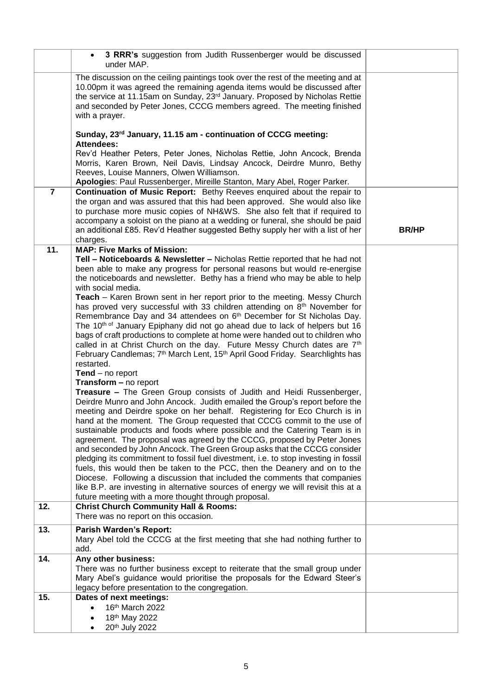|                | 3 RRR's suggestion from Judith Russenberger would be discussed<br>under MAP.                                                                                                                                                                                                                                                                                                                                                                                                                                                                                                                                                                                                                                                                                                                                                                                                                                                                           |              |
|----------------|--------------------------------------------------------------------------------------------------------------------------------------------------------------------------------------------------------------------------------------------------------------------------------------------------------------------------------------------------------------------------------------------------------------------------------------------------------------------------------------------------------------------------------------------------------------------------------------------------------------------------------------------------------------------------------------------------------------------------------------------------------------------------------------------------------------------------------------------------------------------------------------------------------------------------------------------------------|--------------|
|                | The discussion on the ceiling paintings took over the rest of the meeting and at<br>10.00pm it was agreed the remaining agenda items would be discussed after<br>the service at 11.15am on Sunday, 23rd January. Proposed by Nicholas Rettie<br>and seconded by Peter Jones, CCCG members agreed. The meeting finished<br>with a prayer.                                                                                                                                                                                                                                                                                                                                                                                                                                                                                                                                                                                                               |              |
|                | Sunday, 23rd January, 11.15 am - continuation of CCCG meeting:<br><b>Attendees:</b>                                                                                                                                                                                                                                                                                                                                                                                                                                                                                                                                                                                                                                                                                                                                                                                                                                                                    |              |
|                | Rev'd Heather Peters, Peter Jones, Nicholas Rettie, John Ancock, Brenda<br>Morris, Karen Brown, Neil Davis, Lindsay Ancock, Deirdre Munro, Bethy<br>Reeves, Louise Manners, Olwen Williamson.<br>Apologies: Paul Russenberger, Mireille Stanton, Mary Abel, Roger Parker.                                                                                                                                                                                                                                                                                                                                                                                                                                                                                                                                                                                                                                                                              |              |
| $\overline{7}$ | Continuation of Music Report: Bethy Reeves enquired about the repair to<br>the organ and was assured that this had been approved. She would also like<br>to purchase more music copies of NH&WS. She also felt that if required to<br>accompany a soloist on the piano at a wedding or funeral, she should be paid<br>an additional £85. Rev'd Heather suggested Bethy supply her with a list of her<br>charges.                                                                                                                                                                                                                                                                                                                                                                                                                                                                                                                                       | <b>BR/HP</b> |
| 11.            | <b>MAP: Five Marks of Mission:</b>                                                                                                                                                                                                                                                                                                                                                                                                                                                                                                                                                                                                                                                                                                                                                                                                                                                                                                                     |              |
|                | Tell - Noticeboards & Newsletter - Nicholas Rettie reported that he had not<br>been able to make any progress for personal reasons but would re-energise<br>the noticeboards and newsletter. Bethy has a friend who may be able to help<br>with social media.                                                                                                                                                                                                                                                                                                                                                                                                                                                                                                                                                                                                                                                                                          |              |
|                | <b>Teach</b> – Karen Brown sent in her report prior to the meeting. Messy Church<br>has proved very successful with 33 children attending on 8th November for<br>Remembrance Day and 34 attendees on 6 <sup>th</sup> December for St Nicholas Day.<br>The 10 <sup>th of</sup> January Epiphany did not go ahead due to lack of helpers but 16<br>bags of craft productions to complete at home were handed out to children who<br>called in at Christ Church on the day. Future Messy Church dates are 7th<br>February Candlemas; 7 <sup>th</sup> March Lent, 15 <sup>th</sup> April Good Friday. Searchlights has<br>restarted.                                                                                                                                                                                                                                                                                                                       |              |
|                | $Tend - no report$                                                                                                                                                                                                                                                                                                                                                                                                                                                                                                                                                                                                                                                                                                                                                                                                                                                                                                                                     |              |
|                | Transform - no report                                                                                                                                                                                                                                                                                                                                                                                                                                                                                                                                                                                                                                                                                                                                                                                                                                                                                                                                  |              |
|                | <b>Treasure - The Green Group consists of Judith and Heidi Russenberger,</b><br>Deirdre Munro and John Ancock. Judith emailed the Group's report before the<br>meeting and Deirdre spoke on her behalf. Registering for Eco Church is in<br>hand at the moment. The Group requested that CCCG commit to the use of<br>sustainable products and foods where possible and the Catering Team is in<br>agreement. The proposal was agreed by the CCCG, proposed by Peter Jones<br>and seconded by John Ancock. The Green Group asks that the CCCG consider<br>pledging its commitment to fossil fuel divestment, i.e. to stop investing in fossil<br>fuels, this would then be taken to the PCC, then the Deanery and on to the<br>Diocese. Following a discussion that included the comments that companies<br>like B.P. are investing in alternative sources of energy we will revisit this at a<br>future meeting with a more thought through proposal. |              |
| 12.            | <b>Christ Church Community Hall &amp; Rooms:</b><br>There was no report on this occasion.                                                                                                                                                                                                                                                                                                                                                                                                                                                                                                                                                                                                                                                                                                                                                                                                                                                              |              |
| 13.            | Parish Warden's Report:<br>Mary Abel told the CCCG at the first meeting that she had nothing further to<br>add.                                                                                                                                                                                                                                                                                                                                                                                                                                                                                                                                                                                                                                                                                                                                                                                                                                        |              |
| 14.            | Any other business:<br>There was no further business except to reiterate that the small group under<br>Mary Abel's guidance would prioritise the proposals for the Edward Steer's<br>legacy before presentation to the congregation.                                                                                                                                                                                                                                                                                                                                                                                                                                                                                                                                                                                                                                                                                                                   |              |
| 15.            | Dates of next meetings:<br>16th March 2022<br>18th May 2022<br>20th July 2022                                                                                                                                                                                                                                                                                                                                                                                                                                                                                                                                                                                                                                                                                                                                                                                                                                                                          |              |